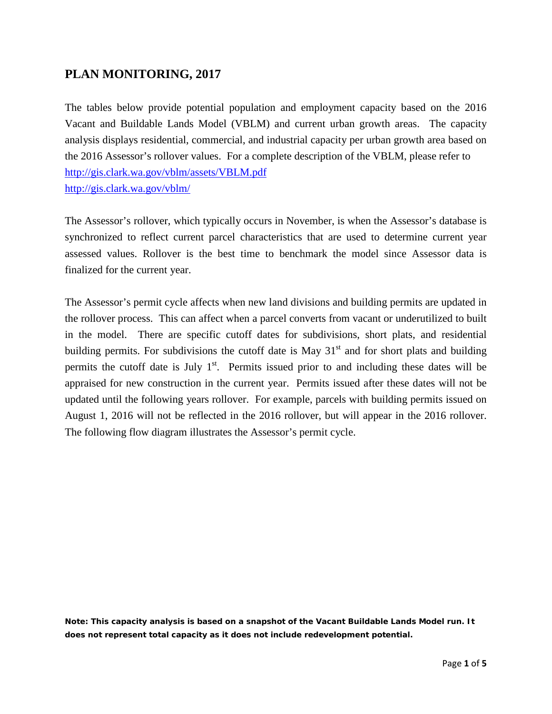## **PLAN MONITORING, 2017**

The tables below provide potential population and employment capacity based on the 2016 Vacant and Buildable Lands Model (VBLM) and current urban growth areas. The capacity analysis displays residential, commercial, and industrial capacity per urban growth area based on the 2016 Assessor's rollover values. For a complete description of the VBLM, please refer to <http://gis.clark.wa.gov/vblm/assets/VBLM.pdf> <http://gis.clark.wa.gov/vblm/>

The Assessor's rollover, which typically occurs in November, is when the Assessor's database is synchronized to reflect current parcel characteristics that are used to determine current year assessed values. Rollover is the best time to benchmark the model since Assessor data is finalized for the current year.

The Assessor's permit cycle affects when new land divisions and building permits are updated in the rollover process. This can affect when a parcel converts from vacant or underutilized to built in the model. There are specific cutoff dates for subdivisions, short plats, and residential building permits. For subdivisions the cutoff date is May  $31<sup>st</sup>$  and for short plats and building permits the cutoff date is July  $1<sup>st</sup>$ . Permits issued prior to and including these dates will be appraised for new construction in the current year. Permits issued after these dates will not be updated until the following years rollover. For example, parcels with building permits issued on August 1, 2016 will not be reflected in the 2016 rollover, but will appear in the 2016 rollover. The following flow diagram illustrates the Assessor's permit cycle.

**Note: This capacity analysis is based on a snapshot of the Vacant Buildable Lands Model run. It does not represent total capacity as it does not include redevelopment potential.**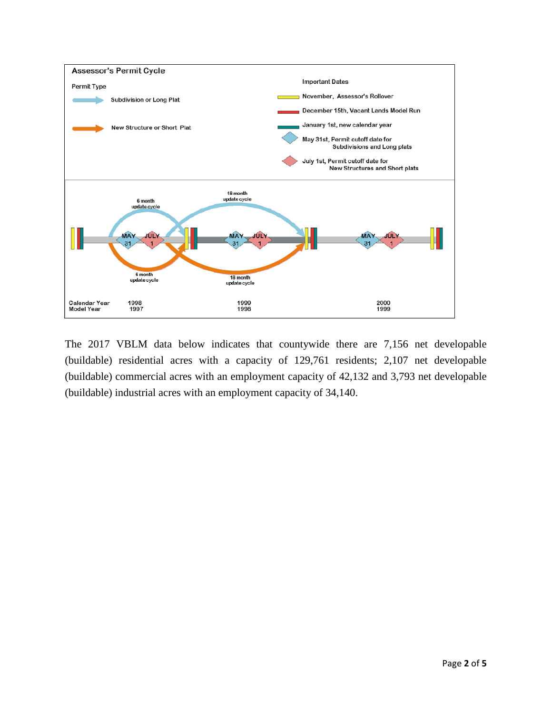

The 2017 VBLM data below indicates that countywide there are 7,156 net developable (buildable) residential acres with a capacity of 129,761 residents; 2,107 net developable (buildable) commercial acres with an employment capacity of 42,132 and 3,793 net developable (buildable) industrial acres with an employment capacity of 34,140.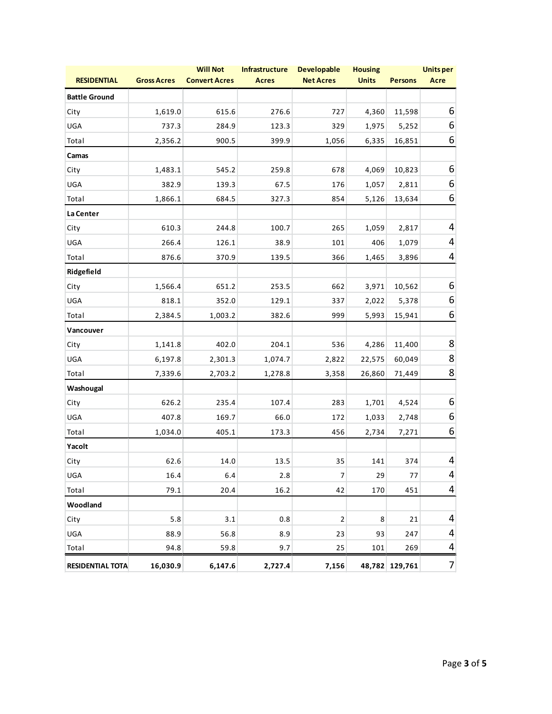| <b>RESIDENTIAL</b>      | <b>Gross Acres</b> | <b>Will Not</b><br><b>Convert Acres</b> | <b>Infrastructure</b><br><b>Acres</b> | <b>Developable</b><br><b>Net Acres</b> | <b>Housing</b><br><b>Units</b> | <b>Persons</b> | <b>Unitsper</b><br><b>Acre</b> |
|-------------------------|--------------------|-----------------------------------------|---------------------------------------|----------------------------------------|--------------------------------|----------------|--------------------------------|
| <b>Battle Ground</b>    |                    |                                         |                                       |                                        |                                |                |                                |
| City                    | 1,619.0            | 615.6                                   | 276.6                                 | 727                                    | 4,360                          | 11,598         | 6                              |
| UGA                     | 737.3              | 284.9                                   | 123.3                                 | 329                                    | 1,975                          | 5,252          | 6                              |
| Total                   | 2,356.2            | 900.5                                   | 399.9                                 | 1,056                                  | 6,335                          | 16,851         | 6                              |
| Camas                   |                    |                                         |                                       |                                        |                                |                |                                |
| City                    | 1,483.1            | 545.2                                   | 259.8                                 | 678                                    | 4,069                          | 10,823         | 6                              |
| UGA                     | 382.9              | 139.3                                   | 67.5                                  | 176                                    | 1,057                          | 2,811          | 6                              |
| Total                   | 1,866.1            | 684.5                                   | 327.3                                 | 854                                    | 5,126                          | 13,634         | 6                              |
| La Center               |                    |                                         |                                       |                                        |                                |                |                                |
| City                    | 610.3              | 244.8                                   | 100.7                                 | 265                                    | 1,059                          | 2,817          | 4                              |
| UGA                     | 266.4              | 126.1                                   | 38.9                                  | 101                                    | 406                            | 1,079          | 4                              |
| Total                   | 876.6              | 370.9                                   | 139.5                                 | 366                                    | 1,465                          | 3,896          | $\overline{4}$                 |
| Ridgefield              |                    |                                         |                                       |                                        |                                |                |                                |
| City                    | 1,566.4            | 651.2                                   | 253.5                                 | 662                                    | 3,971                          | 10,562         | 6                              |
| UGA                     | 818.1              | 352.0                                   | 129.1                                 | 337                                    | 2,022                          | 5,378          | 6                              |
| Total                   | 2,384.5            | 1,003.2                                 | 382.6                                 | 999                                    | 5,993                          | 15,941         | 6                              |
| Vancouver               |                    |                                         |                                       |                                        |                                |                |                                |
| City                    | 1,141.8            | 402.0                                   | 204.1                                 | 536                                    | 4,286                          | 11,400         | 8                              |
| UGA                     | 6,197.8            | 2,301.3                                 | 1,074.7                               | 2,822                                  | 22,575                         | 60,049         | 8                              |
| Total                   | 7,339.6            | 2,703.2                                 | 1,278.8                               | 3,358                                  | 26,860                         | 71,449         | 8                              |
| Washougal               |                    |                                         |                                       |                                        |                                |                |                                |
| City                    | 626.2              | 235.4                                   | 107.4                                 | 283                                    | 1,701                          | 4,524          | 6                              |
| UGA                     | 407.8              | 169.7                                   | 66.0                                  | 172                                    | 1,033                          | 2,748          | 6                              |
| Total                   | 1,034.0            | 405.1                                   | 173.3                                 | 456                                    | 2,734                          | 7,271          | 6                              |
| Yacolt                  |                    |                                         |                                       |                                        |                                |                |                                |
| City                    | 62.6               | 14.0                                    | 13.5                                  | 35                                     | 141                            | 374            | 4                              |
| UGA                     | 16.4               | 6.4                                     | 2.8                                   | $\boldsymbol{7}$                       | 29                             | 77             | 4                              |
| Total                   | 79.1               | 20.4                                    | 16.2                                  | 42                                     | 170                            | 451            | 4                              |
| Woodland                |                    |                                         |                                       |                                        |                                |                |                                |
| City                    | 5.8                | 3.1                                     | 0.8                                   | $\mathbf 2$                            | 8                              | 21             | 4                              |
| UGA                     | 88.9               | 56.8                                    | 8.9                                   | 23                                     | 93                             | 247            | 4                              |
| Total                   | 94.8               | 59.8                                    | 9.7                                   | 25                                     | 101                            | 269            | 4                              |
| <b>RESIDENTIAL TOTA</b> | 16,030.9           | 6,147.6                                 | 2,727.4                               | 7,156                                  |                                | 48,782 129,761 | $\overline{7}$                 |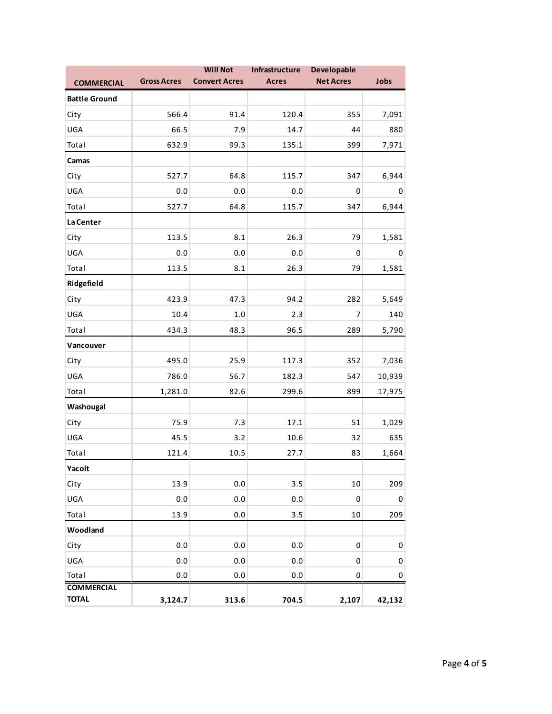|                      |                    | <b>Will Not</b>      | Infrastructure | Developable      |           |
|----------------------|--------------------|----------------------|----------------|------------------|-----------|
| <b>COMMERCIAL</b>    | <b>Gross Acres</b> | <b>Convert Acres</b> | <b>Acres</b>   | <b>Net Acres</b> | Jobs      |
| <b>Battle Ground</b> |                    |                      |                |                  |           |
| City                 | 566.4              | 91.4                 | 120.4          | 355              | 7,091     |
| UGA                  | 66.5               | 7.9                  | 14.7           | 44               | 880       |
| Total                | 632.9              | 99.3                 | 135.1          | 399              | 7,971     |
| Camas                |                    |                      |                |                  |           |
| City                 | 527.7              | 64.8                 | 115.7          | 347              | 6,944     |
| UGA                  | 0.0                | 0.0                  | 0.0            | 0                | 0         |
| Total                | 527.7              | 64.8                 | 115.7          | 347              | 6,944     |
| La Center            |                    |                      |                |                  |           |
| City                 | 113.5              | 8.1                  | 26.3           | 79               | 1,581     |
| UGA                  | 0.0                | 0.0                  | 0.0            | 0                | 0         |
| Total                | 113.5              | 8.1                  | 26.3           | 79               | 1,581     |
| Ridgefield           |                    |                      |                |                  |           |
| City                 | 423.9              | 47.3                 | 94.2           | 282              | 5,649     |
| UGA                  | 10.4               | 1.0                  | 2.3            | 7                | 140       |
| Total                | 434.3              | 48.3                 | 96.5           | 289              | 5,790     |
| Vancouver            |                    |                      |                |                  |           |
| City                 | 495.0              | 25.9                 | 117.3          | 352              | 7,036     |
| UGA                  | 786.0              | 56.7                 | 182.3          | 547              | 10,939    |
| Total                | 1,281.0            | 82.6                 | 299.6          | 899              | 17,975    |
| Washougal            |                    |                      |                |                  |           |
| City                 | 75.9               | 7.3                  | 17.1           | 51               | 1,029     |
| UGA                  | 45.5               | 3.2                  | 10.6           | 32               | 635       |
| Total                | 121.4              | 10.5                 | 27.7           | 83               | 1,664     |
| Yacolt               |                    |                      |                |                  |           |
| City                 | 13.9               | 0.0                  | 3.5            | 10               | 209       |
| UGA                  | 0.0                | $0.0\,$              | 0.0            | $\pmb{0}$        | 0         |
| Total                | 13.9               | $0.0\,$              | 3.5            | $10\,$           | 209       |
| Woodland             |                    |                      |                |                  |           |
| City                 | 0.0                | $0.0\,$              | 0.0            | $\pmb{0}$        | $\pmb{0}$ |
| UGA                  | 0.0                | $0.0\,$              | 0.0            | 0                | 0         |
| Total                | $0.0\,$            | $0.0\,$              | 0.0            | 0                | $\pmb{0}$ |
| <b>COMMERCIAL</b>    |                    |                      |                |                  |           |
| <b>TOTAL</b>         | 3,124.7            | 313.6                | 704.5          | 2,107            | 42,132    |